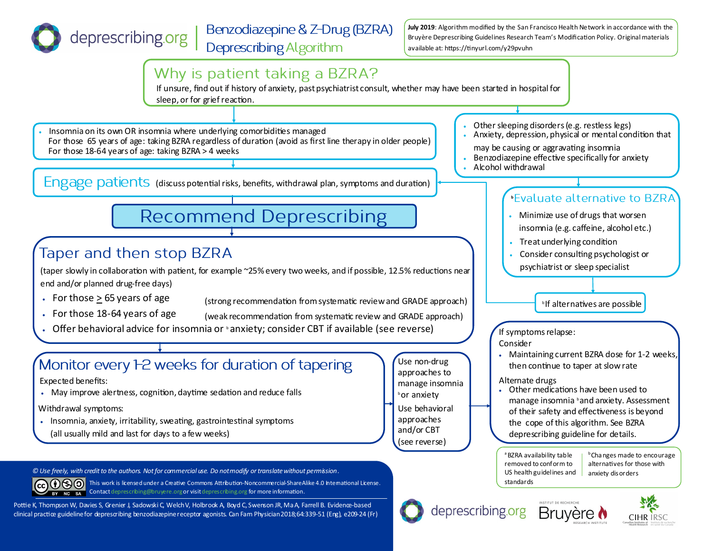

**July 2019**: Algorithm modified by the San Francisco Health Network in accordance with the Bruyère Deprescribing Guidelines Research Team's Modification Policy. Original materials available at: https://tinyurl.com/y29pvuhn

US health guidelines and

anxiety disorders

CIHR IRS

standards

deprescribing.org Bruyère ♦



*© Use freely, with credit to the authors. Not for commercial use. Do not modify or translate without permission .*

CC (i) SO This work is licensed under a Creative Commons Attribution-Noncommercial-ShareAlike 4.0 International License. BY NC SA Contact deprescribing@bruyere.org or visit deprescribing.org for more information.

Pottie K, Thompson W, Davies S, Grenier J, Sadowski C, Welch V, Holbrook A, Boyd C, Swenson JR, Ma A, Farrell B. Evidence-based clinical practice guideline for deprescribing benzodiazepine receptor agonists. Can Fam Physician 2018;64:339-51 (Eng), e209-24 (Fr)